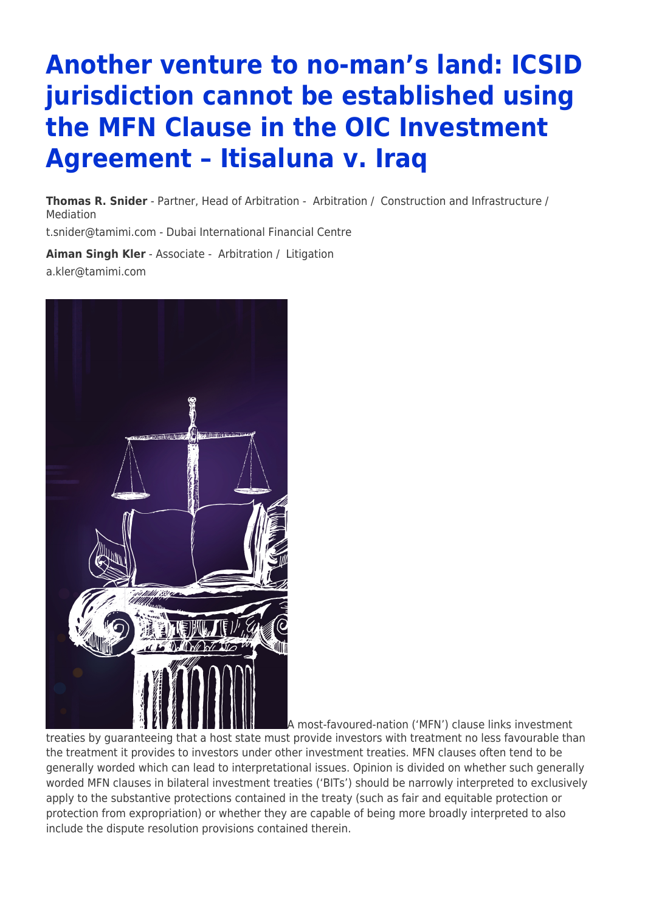# **Another venture to no-man's land: ICSID jurisdiction cannot be established using the MFN Clause in the OIC Investment Agreement – Itisaluna v. Iraq**

**[Thomas R. Snider](https://www.tamimi.com/find-a-lawyer/thomas-snider/)** - Partner, Head of Arbitration - [Arbitration](https://www.tamimi.com/client-services/practices/arbitration/) / [Construction and Infrastructure](https://www.tamimi.com/client-services/practices/construction-infrastructure/) / [Mediation](https://www.tamimi.com/client-services/practices/mediation/)

[t.snider@tamimi.com](mailto:t.snider@tamimi.com) - [Dubai International Financial Centre](https://www.tamimi.com/locations/uae/)

**[Aiman Singh Kler](https://www.tamimi.com/find-a-lawyer/aiman-singh-kler/)** - Associate - [Arbitration](https://www.tamimi.com/client-services/practices/arbitration/) / [Litigation](https://www.tamimi.com/client-services/practices/litigation/) [a.kler@tamimi.com](mailto:a.kler@tamimi.com)



A most-favoured-nation ('MFN') clause links investment treaties by guaranteeing that a host state must provide investors with treatment no less favourable than the treatment it provides to investors under other investment treaties. MFN clauses often tend to be generally worded which can lead to interpretational issues. Opinion is divided on whether such generally worded MFN clauses in bilateral investment treaties ('BITs') should be narrowly interpreted to exclusively apply to the substantive protections contained in the treaty (such as fair and equitable protection or protection from expropriation) or whether they are capable of being more broadly interpreted to also include the dispute resolution provisions contained therein.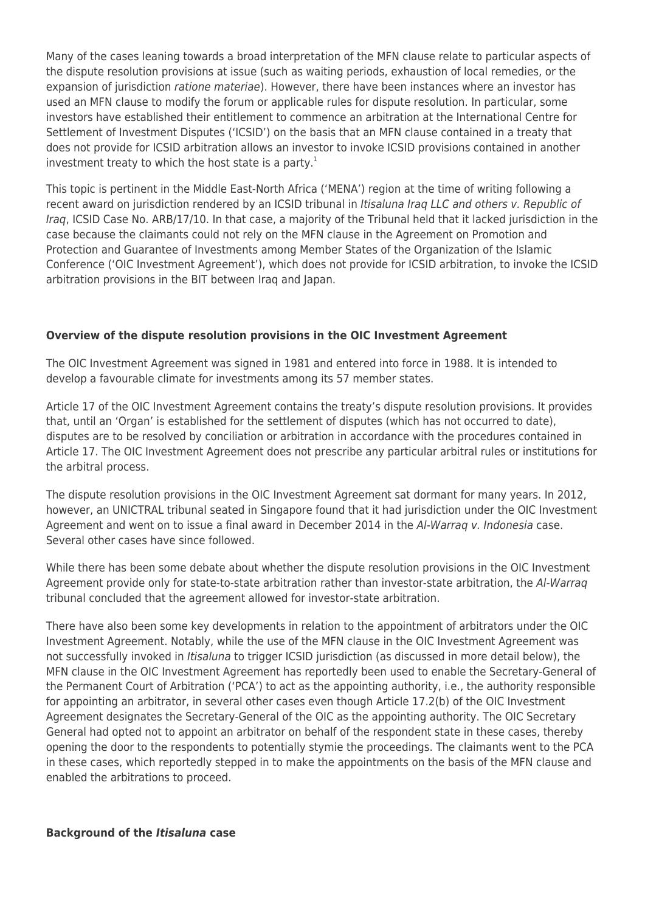Many of the cases leaning towards a broad interpretation of the MFN clause relate to particular aspects of the dispute resolution provisions at issue (such as waiting periods, exhaustion of local remedies, or the expansion of jurisdiction ratione materiae). However, there have been instances where an investor has used an MFN clause to modify the forum or applicable rules for dispute resolution. In particular, some investors have established their entitlement to commence an arbitration at the International Centre for Settlement of Investment Disputes ('ICSID') on the basis that an MFN clause contained in a treaty that does not provide for ICSID arbitration allows an investor to invoke ICSID provisions contained in another investment treaty to which the host state is a party.<sup>1</sup>

This topic is pertinent in the Middle East-North Africa ('MENA') region at the time of writing following a recent award on jurisdiction rendered by an ICSID tribunal in Itisaluna Iraq LLC and others v. Republic of Iraq, ICSID Case No. ARB/17/10. In that case, a majority of the Tribunal held that it lacked jurisdiction in the case because the claimants could not rely on the MFN clause in the Agreement on Promotion and Protection and Guarantee of Investments among Member States of the Organization of the Islamic Conference ('OIC Investment Agreement'), which does not provide for ICSID arbitration, to invoke the ICSID arbitration provisions in the BIT between Iraq and Japan.

## **Overview of the dispute resolution provisions in the OIC Investment Agreement**

The OIC Investment Agreement was signed in 1981 and entered into force in 1988. It is intended to develop a favourable climate for investments among its 57 member states.

Article 17 of the OIC Investment Agreement contains the treaty's dispute resolution provisions. It provides that, until an 'Organ' is established for the settlement of disputes (which has not occurred to date), disputes are to be resolved by conciliation or arbitration in accordance with the procedures contained in Article 17. The OIC Investment Agreement does not prescribe any particular arbitral rules or institutions for the arbitral process.

The dispute resolution provisions in the OIC Investment Agreement sat dormant for many years. In 2012, however, an UNICTRAL tribunal seated in Singapore found that it had jurisdiction under the OIC Investment Agreement and went on to issue a final award in December 2014 in the Al-Warraq v. Indonesia case. Several other cases have since followed.

While there has been some debate about whether the dispute resolution provisions in the OIC Investment Agreement provide only for state-to-state arbitration rather than investor-state arbitration, the Al-Warraq tribunal concluded that the agreement allowed for investor-state arbitration.

There have also been some key developments in relation to the appointment of arbitrators under the OIC Investment Agreement. Notably, while the use of the MFN clause in the OIC Investment Agreement was not successfully invoked in Itisaluna to trigger ICSID jurisdiction (as discussed in more detail below), the MFN clause in the OIC Investment Agreement has reportedly been used to enable the Secretary-General of the Permanent Court of Arbitration ('PCA') to act as the appointing authority, i.e., the authority responsible for appointing an arbitrator, in several other cases even though Article 17.2(b) of the OIC Investment Agreement designates the Secretary-General of the OIC as the appointing authority. The OIC Secretary General had opted not to appoint an arbitrator on behalf of the respondent state in these cases, thereby opening the door to the respondents to potentially stymie the proceedings. The claimants went to the PCA in these cases, which reportedly stepped in to make the appointments on the basis of the MFN clause and enabled the arbitrations to proceed.

#### **Background of the** *Itisaluna* **case**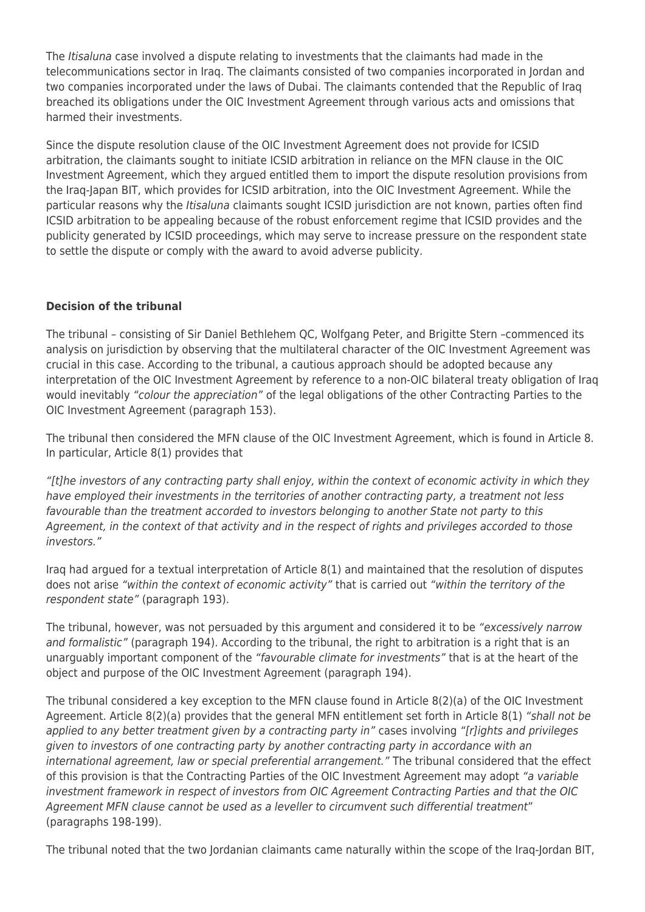The *Itisaluna* case involved a dispute relating to investments that the claimants had made in the telecommunications sector in Iraq. The claimants consisted of two companies incorporated in Jordan and two companies incorporated under the laws of Dubai. The claimants contended that the Republic of Iraq breached its obligations under the OIC Investment Agreement through various acts and omissions that harmed their investments.

Since the dispute resolution clause of the OIC Investment Agreement does not provide for ICSID arbitration, the claimants sought to initiate ICSID arbitration in reliance on the MFN clause in the OIC Investment Agreement, which they argued entitled them to import the dispute resolution provisions from the Iraq-Japan BIT, which provides for ICSID arbitration, into the OIC Investment Agreement. While the particular reasons why the Itisaluna claimants sought ICSID jurisdiction are not known, parties often find ICSID arbitration to be appealing because of the robust enforcement regime that ICSID provides and the publicity generated by ICSID proceedings, which may serve to increase pressure on the respondent state to settle the dispute or comply with the award to avoid adverse publicity.

## **Decision of the tribunal**

The tribunal – consisting of Sir Daniel Bethlehem QC, Wolfgang Peter, and Brigitte Stern –commenced its analysis on jurisdiction by observing that the multilateral character of the OIC Investment Agreement was crucial in this case. According to the tribunal, a cautious approach should be adopted because any interpretation of the OIC Investment Agreement by reference to a non-OIC bilateral treaty obligation of Iraq would inevitably "colour the appreciation" of the legal obligations of the other Contracting Parties to the OIC Investment Agreement (paragraph 153).

The tribunal then considered the MFN clause of the OIC Investment Agreement, which is found in Article 8. In particular, Article 8(1) provides that

"[t]he investors of any contracting party shall enjoy, within the context of economic activity in which they have employed their investments in the territories of another contracting party, a treatment not less favourable than the treatment accorded to investors belonging to another State not party to this Agreement, in the context of that activity and in the respect of rights and privileges accorded to those investors."

Iraq had argued for a textual interpretation of Article 8(1) and maintained that the resolution of disputes does not arise "within the context of economic activity" that is carried out "within the territory of the respondent state" (paragraph 193).

The tribunal, however, was not persuaded by this argument and considered it to be "excessively narrow and formalistic" (paragraph 194). According to the tribunal, the right to arbitration is a right that is an unarguably important component of the "favourable climate for investments" that is at the heart of the object and purpose of the OIC Investment Agreement (paragraph 194).

The tribunal considered a key exception to the MFN clause found in Article 8(2)(a) of the OIC Investment Agreement. Article 8(2)(a) provides that the general MFN entitlement set forth in Article 8(1) "shall not be applied to any better treatment given by a contracting party in" cases involving "[r]ights and privileges given to investors of one contracting party by another contracting party in accordance with an international agreement, law or special preferential arrangement." The tribunal considered that the effect of this provision is that the Contracting Parties of the OIC Investment Agreement may adopt "a variable investment framework in respect of investors from OIC Agreement Contracting Parties and that the OIC Agreement MFN clause cannot be used as a leveller to circumvent such differential treatment" (paragraphs 198-199).

The tribunal noted that the two Jordanian claimants came naturally within the scope of the Iraq-Jordan BIT,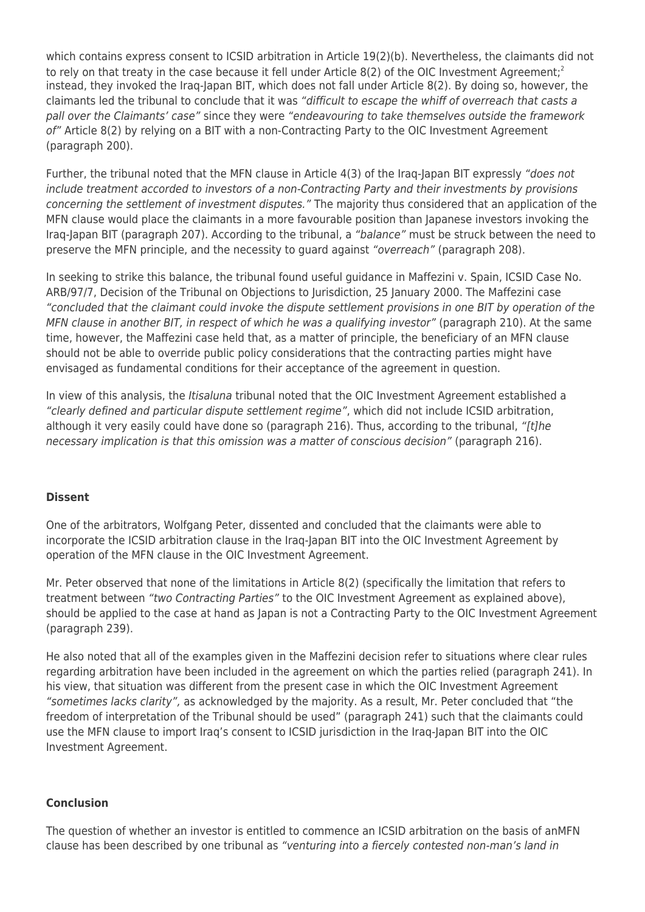which contains express consent to ICSID arbitration in Article 19(2)(b). Nevertheless, the claimants did not to rely on that treaty in the case because it fell under Article 8(2) of the OIC Investment Agreement:<sup>2</sup> instead, they invoked the Iraq-Japan BIT, which does not fall under Article 8(2). By doing so, however, the claimants led the tribunal to conclude that it was "difficult to escape the whiff of overreach that casts a pall over the Claimants' case" since they were "endeavouring to take themselves outside the framework of" Article 8(2) by relying on a BIT with a non-Contracting Party to the OIC Investment Agreement (paragraph 200).

Further, the tribunal noted that the MFN clause in Article 4(3) of the Iraq-Japan BIT expressly "does not include treatment accorded to investors of a non-Contracting Party and their investments by provisions concerning the settlement of investment disputes." The majority thus considered that an application of the MFN clause would place the claimants in a more favourable position than Japanese investors invoking the Iraq-Japan BIT (paragraph 207). According to the tribunal, a "balance" must be struck between the need to preserve the MFN principle, and the necessity to guard against "overreach" (paragraph 208).

In seeking to strike this balance, the tribunal found useful guidance in Maffezini v. Spain, ICSID Case No. ARB/97/7, Decision of the Tribunal on Objections to Jurisdiction, 25 January 2000. The Maffezini case "concluded that the claimant could invoke the dispute settlement provisions in one BIT by operation of the MFN clause in another BIT, in respect of which he was a qualifying investor" (paragraph 210). At the same time, however, the Maffezini case held that, as a matter of principle, the beneficiary of an MFN clause should not be able to override public policy considerations that the contracting parties might have envisaged as fundamental conditions for their acceptance of the agreement in question.

In view of this analysis, the Itisaluna tribunal noted that the OIC Investment Agreement established a "clearly defined and particular dispute settlement regime", which did not include ICSID arbitration, although it very easily could have done so (paragraph 216). Thus, according to the tribunal, "[t]he necessary implication is that this omission was a matter of conscious decision" (paragraph 216).

### **Dissent**

One of the arbitrators, Wolfgang Peter, dissented and concluded that the claimants were able to incorporate the ICSID arbitration clause in the Iraq-Japan BIT into the OIC Investment Agreement by operation of the MFN clause in the OIC Investment Agreement.

Mr. Peter observed that none of the limitations in Article 8(2) (specifically the limitation that refers to treatment between "two Contracting Parties" to the OIC Investment Agreement as explained above), should be applied to the case at hand as Japan is not a Contracting Party to the OIC Investment Agreement (paragraph 239).

He also noted that all of the examples given in the Maffezini decision refer to situations where clear rules regarding arbitration have been included in the agreement on which the parties relied (paragraph 241). In his view, that situation was different from the present case in which the OIC Investment Agreement "sometimes lacks clarity", as acknowledged by the majority. As a result, Mr. Peter concluded that "the freedom of interpretation of the Tribunal should be used" (paragraph 241) such that the claimants could use the MFN clause to import Iraq's consent to ICSID jurisdiction in the Iraq-Japan BIT into the OIC Investment Agreement.

### **Conclusion**

The question of whether an investor is entitled to commence an ICSID arbitration on the basis of anMFN clause has been described by one tribunal as "venturing into a fiercely contested non-man's land in